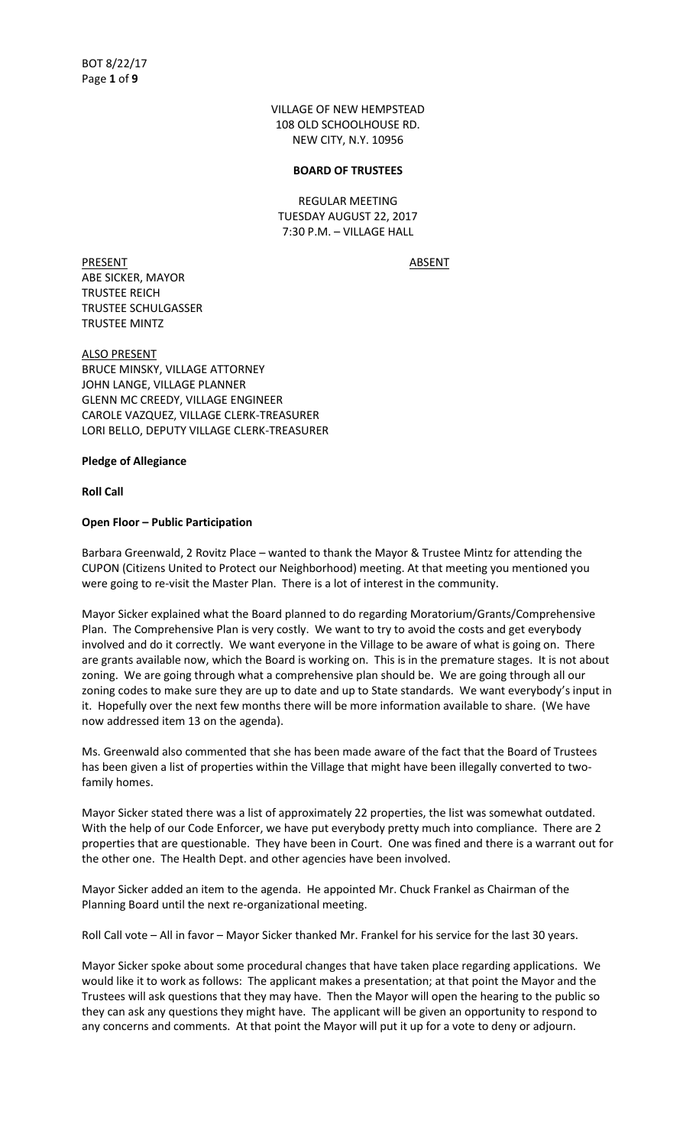VILLAGE OF NEW HEMPSTEAD 108 OLD SCHOOLHOUSE RD. NEW CITY, N.Y. 10956

#### **BOARD OF TRUSTEES**

REGULAR MEETING TUESDAY AUGUST 22, 2017 7:30 P.M. – VILLAGE HALL

PRESENT ABSENT ABE SICKER, MAYOR TRUSTEE REICH TRUSTEE SCHULGASSER TRUSTEE MINTZ

ALSO PRESENT BRUCE MINSKY, VILLAGE ATTORNEY JOHN LANGE, VILLAGE PLANNER GLENN MC CREEDY, VILLAGE ENGINEER CAROLE VAZQUEZ, VILLAGE CLERK-TREASURER LORI BELLO, DEPUTY VILLAGE CLERK-TREASURER

#### **Pledge of Allegiance**

**Roll Call**

#### **Open Floor – Public Participation**

Barbara Greenwald, 2 Rovitz Place – wanted to thank the Mayor & Trustee Mintz for attending the CUPON (Citizens United to Protect our Neighborhood) meeting. At that meeting you mentioned you were going to re-visit the Master Plan. There is a lot of interest in the community.

Mayor Sicker explained what the Board planned to do regarding Moratorium/Grants/Comprehensive Plan. The Comprehensive Plan is very costly. We want to try to avoid the costs and get everybody involved and do it correctly. We want everyone in the Village to be aware of what is going on. There are grants available now, which the Board is working on. This is in the premature stages. It is not about zoning. We are going through what a comprehensive plan should be. We are going through all our zoning codes to make sure they are up to date and up to State standards. We want everybody's input in it. Hopefully over the next few months there will be more information available to share. (We have now addressed item 13 on the agenda).

Ms. Greenwald also commented that she has been made aware of the fact that the Board of Trustees has been given a list of properties within the Village that might have been illegally converted to twofamily homes.

Mayor Sicker stated there was a list of approximately 22 properties, the list was somewhat outdated. With the help of our Code Enforcer, we have put everybody pretty much into compliance. There are 2 properties that are questionable. They have been in Court. One was fined and there is a warrant out for the other one. The Health Dept. and other agencies have been involved.

Mayor Sicker added an item to the agenda. He appointed Mr. Chuck Frankel as Chairman of the Planning Board until the next re-organizational meeting.

Roll Call vote – All in favor – Mayor Sicker thanked Mr. Frankel for his service for the last 30 years.

Mayor Sicker spoke about some procedural changes that have taken place regarding applications. We would like it to work as follows: The applicant makes a presentation; at that point the Mayor and the Trustees will ask questions that they may have. Then the Mayor will open the hearing to the public so they can ask any questions they might have. The applicant will be given an opportunity to respond to any concerns and comments. At that point the Mayor will put it up for a vote to deny or adjourn.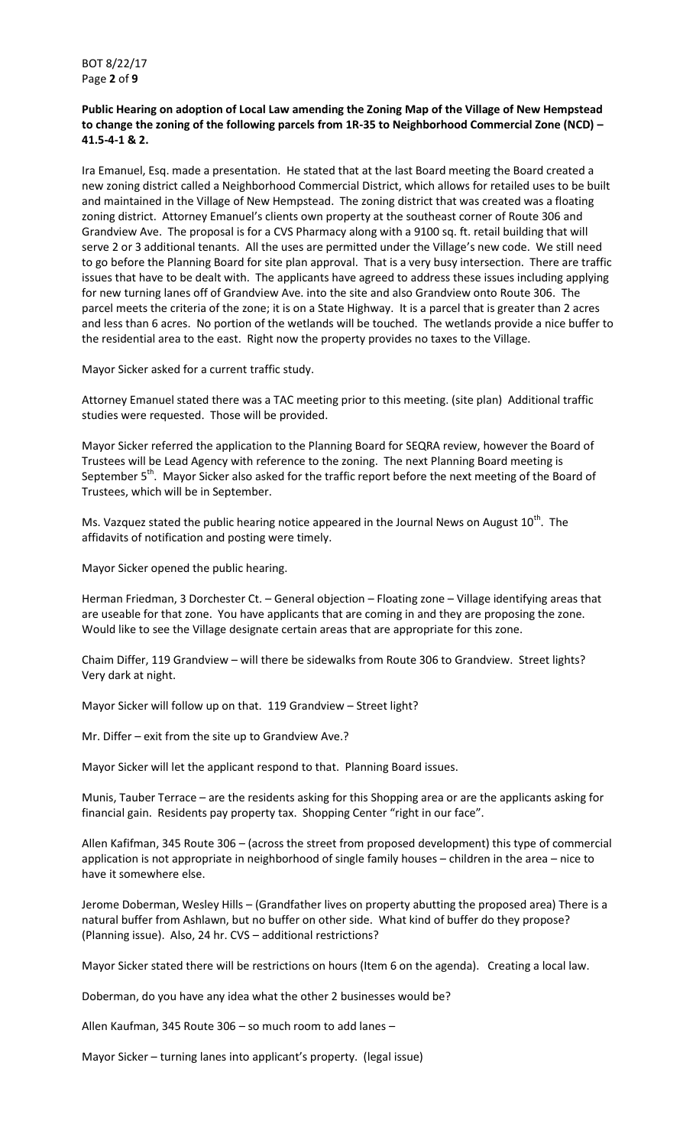BOT 8/22/17 Page **2** of **9**

**Public Hearing on adoption of Local Law amending the Zoning Map of the Village of New Hempstead to change the zoning of the following parcels from 1R-35 to Neighborhood Commercial Zone (NCD) – 41.5-4-1 & 2.** 

Ira Emanuel, Esq. made a presentation. He stated that at the last Board meeting the Board created a new zoning district called a Neighborhood Commercial District, which allows for retailed uses to be built and maintained in the Village of New Hempstead. The zoning district that was created was a floating zoning district. Attorney Emanuel's clients own property at the southeast corner of Route 306 and Grandview Ave. The proposal is for a CVS Pharmacy along with a 9100 sq. ft. retail building that will serve 2 or 3 additional tenants. All the uses are permitted under the Village's new code. We still need to go before the Planning Board for site plan approval. That is a very busy intersection. There are traffic issues that have to be dealt with. The applicants have agreed to address these issues including applying for new turning lanes off of Grandview Ave. into the site and also Grandview onto Route 306. The parcel meets the criteria of the zone; it is on a State Highway. It is a parcel that is greater than 2 acres and less than 6 acres. No portion of the wetlands will be touched. The wetlands provide a nice buffer to the residential area to the east. Right now the property provides no taxes to the Village.

Mayor Sicker asked for a current traffic study.

Attorney Emanuel stated there was a TAC meeting prior to this meeting. (site plan) Additional traffic studies were requested. Those will be provided.

Mayor Sicker referred the application to the Planning Board for SEQRA review, however the Board of Trustees will be Lead Agency with reference to the zoning. The next Planning Board meeting is September 5<sup>th</sup>. Mayor Sicker also asked for the traffic report before the next meeting of the Board of Trustees, which will be in September.

Ms. Vazquez stated the public hearing notice appeared in the Journal News on August  $10^{th}$ . The affidavits of notification and posting were timely.

Mayor Sicker opened the public hearing.

Herman Friedman, 3 Dorchester Ct. – General objection – Floating zone – Village identifying areas that are useable for that zone. You have applicants that are coming in and they are proposing the zone. Would like to see the Village designate certain areas that are appropriate for this zone.

Chaim Differ, 119 Grandview – will there be sidewalks from Route 306 to Grandview. Street lights? Very dark at night.

Mayor Sicker will follow up on that. 119 Grandview – Street light?

Mr. Differ – exit from the site up to Grandview Ave.?

Mayor Sicker will let the applicant respond to that. Planning Board issues.

Munis, Tauber Terrace – are the residents asking for this Shopping area or are the applicants asking for financial gain. Residents pay property tax. Shopping Center "right in our face".

Allen Kafifman, 345 Route 306 – (across the street from proposed development) this type of commercial application is not appropriate in neighborhood of single family houses – children in the area – nice to have it somewhere else.

Jerome Doberman, Wesley Hills – (Grandfather lives on property abutting the proposed area) There is a natural buffer from Ashlawn, but no buffer on other side. What kind of buffer do they propose? (Planning issue). Also, 24 hr. CVS – additional restrictions?

Mayor Sicker stated there will be restrictions on hours (Item 6 on the agenda). Creating a local law.

Doberman, do you have any idea what the other 2 businesses would be?

Allen Kaufman, 345 Route 306 – so much room to add lanes –

Mayor Sicker – turning lanes into applicant's property. (legal issue)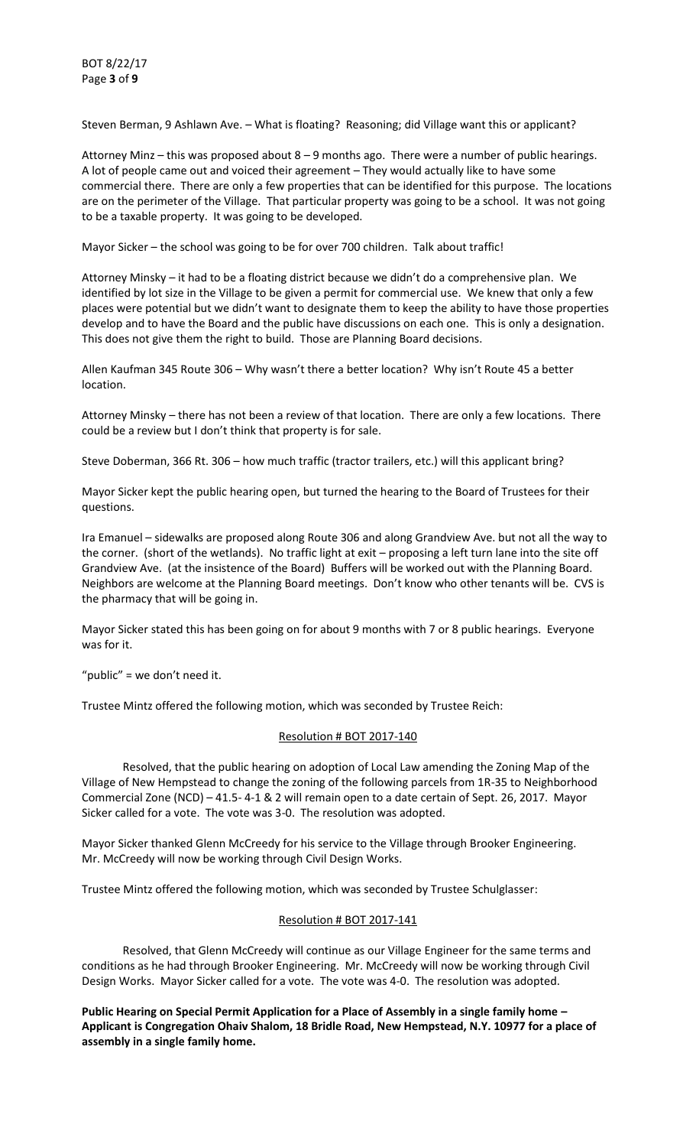Steven Berman, 9 Ashlawn Ave. – What is floating? Reasoning; did Village want this or applicant?

Attorney Minz – this was proposed about 8 – 9 months ago. There were a number of public hearings. A lot of people came out and voiced their agreement – They would actually like to have some commercial there. There are only a few properties that can be identified for this purpose. The locations are on the perimeter of the Village. That particular property was going to be a school. It was not going to be a taxable property. It was going to be developed.

Mayor Sicker – the school was going to be for over 700 children. Talk about traffic!

Attorney Minsky – it had to be a floating district because we didn't do a comprehensive plan. We identified by lot size in the Village to be given a permit for commercial use. We knew that only a few places were potential but we didn't want to designate them to keep the ability to have those properties develop and to have the Board and the public have discussions on each one. This is only a designation. This does not give them the right to build. Those are Planning Board decisions.

Allen Kaufman 345 Route 306 – Why wasn't there a better location? Why isn't Route 45 a better location.

Attorney Minsky – there has not been a review of that location. There are only a few locations. There could be a review but I don't think that property is for sale.

Steve Doberman, 366 Rt. 306 – how much traffic (tractor trailers, etc.) will this applicant bring?

Mayor Sicker kept the public hearing open, but turned the hearing to the Board of Trustees for their questions.

Ira Emanuel – sidewalks are proposed along Route 306 and along Grandview Ave. but not all the way to the corner. (short of the wetlands). No traffic light at exit – proposing a left turn lane into the site off Grandview Ave. (at the insistence of the Board) Buffers will be worked out with the Planning Board. Neighbors are welcome at the Planning Board meetings. Don't know who other tenants will be. CVS is the pharmacy that will be going in.

Mayor Sicker stated this has been going on for about 9 months with 7 or 8 public hearings. Everyone was for it.

" $public$ " = we don't need it.

Trustee Mintz offered the following motion, which was seconded by Trustee Reich:

## Resolution # BOT 2017-140

 Resolved, that the public hearing on adoption of Local Law amending the Zoning Map of the Village of New Hempstead to change the zoning of the following parcels from 1R-35 to Neighborhood Commercial Zone (NCD) – 41.5- 4-1 & 2 will remain open to a date certain of Sept. 26, 2017. Mayor Sicker called for a vote. The vote was 3-0. The resolution was adopted.

Mayor Sicker thanked Glenn McCreedy for his service to the Village through Brooker Engineering. Mr. McCreedy will now be working through Civil Design Works.

Trustee Mintz offered the following motion, which was seconded by Trustee Schulglasser:

## Resolution # BOT 2017-141

 Resolved, that Glenn McCreedy will continue as our Village Engineer for the same terms and conditions as he had through Brooker Engineering. Mr. McCreedy will now be working through Civil Design Works. Mayor Sicker called for a vote. The vote was 4-0. The resolution was adopted.

**Public Hearing on Special Permit Application for a Place of Assembly in a single family home – Applicant is Congregation Ohaiv Shalom, 18 Bridle Road, New Hempstead, N.Y. 10977 for a place of assembly in a single family home.**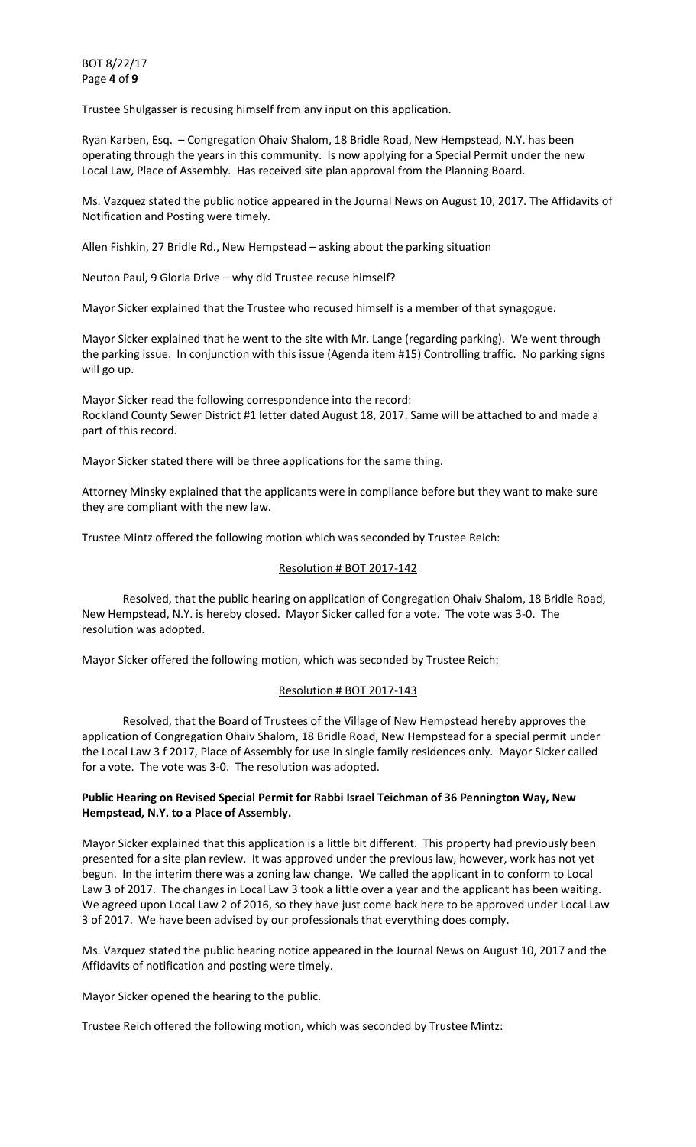BOT 8/22/17 Page **4** of **9**

Trustee Shulgasser is recusing himself from any input on this application.

Ryan Karben, Esq. – Congregation Ohaiv Shalom, 18 Bridle Road, New Hempstead, N.Y. has been operating through the years in this community. Is now applying for a Special Permit under the new Local Law, Place of Assembly. Has received site plan approval from the Planning Board.

Ms. Vazquez stated the public notice appeared in the Journal News on August 10, 2017. The Affidavits of Notification and Posting were timely.

Allen Fishkin, 27 Bridle Rd., New Hempstead – asking about the parking situation

Neuton Paul, 9 Gloria Drive – why did Trustee recuse himself?

Mayor Sicker explained that the Trustee who recused himself is a member of that synagogue.

Mayor Sicker explained that he went to the site with Mr. Lange (regarding parking). We went through the parking issue. In conjunction with this issue (Agenda item #15) Controlling traffic. No parking signs will go up.

Mayor Sicker read the following correspondence into the record: Rockland County Sewer District #1 letter dated August 18, 2017. Same will be attached to and made a part of this record.

Mayor Sicker stated there will be three applications for the same thing.

Attorney Minsky explained that the applicants were in compliance before but they want to make sure they are compliant with the new law.

Trustee Mintz offered the following motion which was seconded by Trustee Reich:

#### Resolution # BOT 2017-142

 Resolved, that the public hearing on application of Congregation Ohaiv Shalom, 18 Bridle Road, New Hempstead, N.Y. is hereby closed. Mayor Sicker called for a vote. The vote was 3-0. The resolution was adopted.

Mayor Sicker offered the following motion, which was seconded by Trustee Reich:

#### Resolution # BOT 2017-143

 Resolved, that the Board of Trustees of the Village of New Hempstead hereby approves the application of Congregation Ohaiv Shalom, 18 Bridle Road, New Hempstead for a special permit under the Local Law 3 f 2017, Place of Assembly for use in single family residences only. Mayor Sicker called for a vote. The vote was 3-0. The resolution was adopted.

## **Public Hearing on Revised Special Permit for Rabbi Israel Teichman of 36 Pennington Way, New Hempstead, N.Y. to a Place of Assembly.**

Mayor Sicker explained that this application is a little bit different. This property had previously been presented for a site plan review. It was approved under the previous law, however, work has not yet begun. In the interim there was a zoning law change. We called the applicant in to conform to Local Law 3 of 2017. The changes in Local Law 3 took a little over a year and the applicant has been waiting. We agreed upon Local Law 2 of 2016, so they have just come back here to be approved under Local Law 3 of 2017. We have been advised by our professionals that everything does comply.

Ms. Vazquez stated the public hearing notice appeared in the Journal News on August 10, 2017 and the Affidavits of notification and posting were timely.

Mayor Sicker opened the hearing to the public.

Trustee Reich offered the following motion, which was seconded by Trustee Mintz: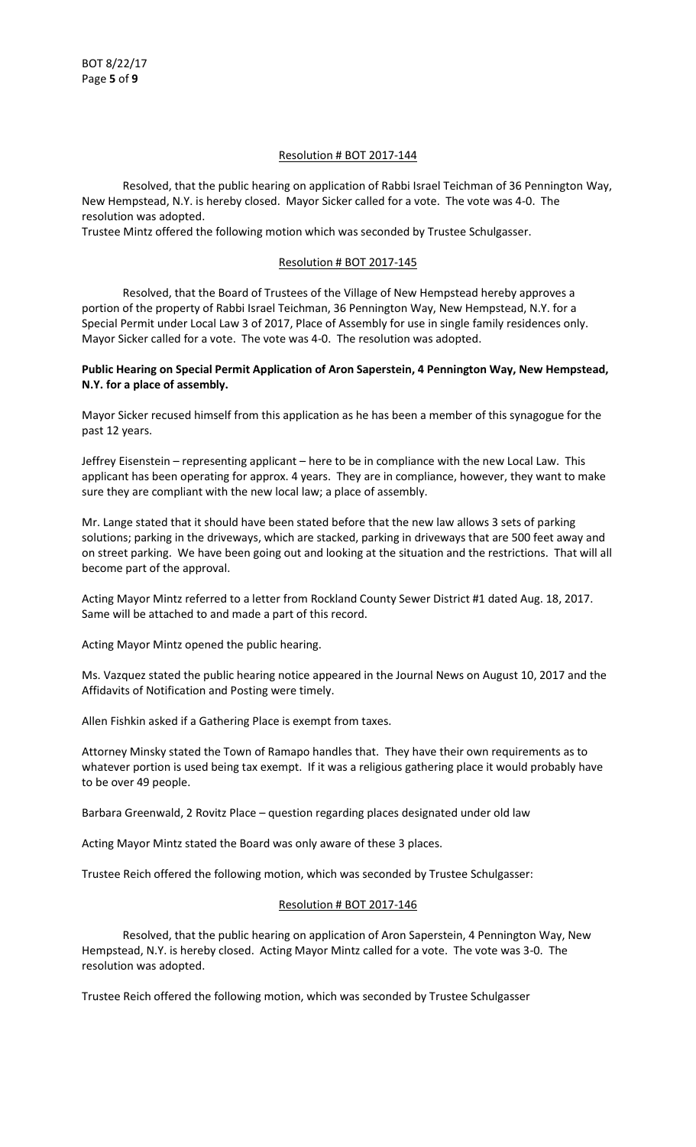# Resolution # BOT 2017-144

 Resolved, that the public hearing on application of Rabbi Israel Teichman of 36 Pennington Way, New Hempstead, N.Y. is hereby closed. Mayor Sicker called for a vote. The vote was 4-0. The resolution was adopted.

Trustee Mintz offered the following motion which was seconded by Trustee Schulgasser.

# Resolution # BOT 2017-145

 Resolved, that the Board of Trustees of the Village of New Hempstead hereby approves a portion of the property of Rabbi Israel Teichman, 36 Pennington Way, New Hempstead, N.Y. for a Special Permit under Local Law 3 of 2017, Place of Assembly for use in single family residences only. Mayor Sicker called for a vote. The vote was 4-0. The resolution was adopted.

# **Public Hearing on Special Permit Application of Aron Saperstein, 4 Pennington Way, New Hempstead, N.Y. for a place of assembly.**

Mayor Sicker recused himself from this application as he has been a member of this synagogue for the past 12 years.

Jeffrey Eisenstein – representing applicant – here to be in compliance with the new Local Law. This applicant has been operating for approx. 4 years. They are in compliance, however, they want to make sure they are compliant with the new local law; a place of assembly.

Mr. Lange stated that it should have been stated before that the new law allows 3 sets of parking solutions; parking in the driveways, which are stacked, parking in driveways that are 500 feet away and on street parking. We have been going out and looking at the situation and the restrictions. That will all become part of the approval.

Acting Mayor Mintz referred to a letter from Rockland County Sewer District #1 dated Aug. 18, 2017. Same will be attached to and made a part of this record.

Acting Mayor Mintz opened the public hearing.

Ms. Vazquez stated the public hearing notice appeared in the Journal News on August 10, 2017 and the Affidavits of Notification and Posting were timely.

Allen Fishkin asked if a Gathering Place is exempt from taxes.

Attorney Minsky stated the Town of Ramapo handles that. They have their own requirements as to whatever portion is used being tax exempt. If it was a religious gathering place it would probably have to be over 49 people.

Barbara Greenwald, 2 Rovitz Place – question regarding places designated under old law

Acting Mayor Mintz stated the Board was only aware of these 3 places.

Trustee Reich offered the following motion, which was seconded by Trustee Schulgasser:

## Resolution # BOT 2017-146

 Resolved, that the public hearing on application of Aron Saperstein, 4 Pennington Way, New Hempstead, N.Y. is hereby closed. Acting Mayor Mintz called for a vote. The vote was 3-0. The resolution was adopted.

Trustee Reich offered the following motion, which was seconded by Trustee Schulgasser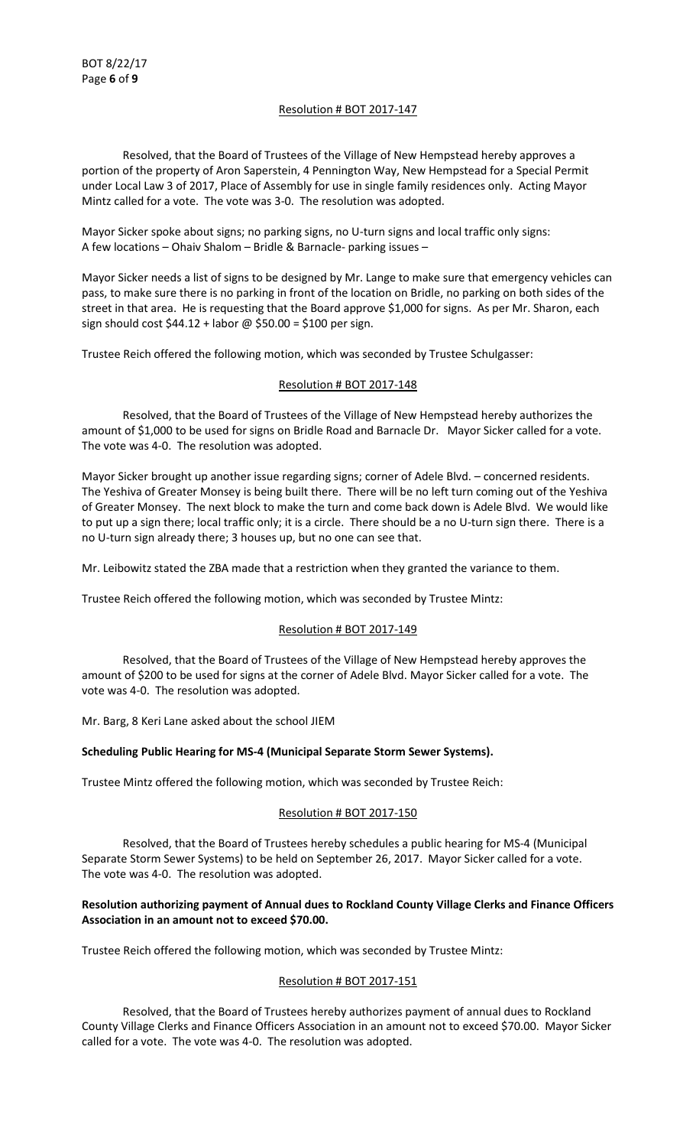## Resolution # BOT 2017-147

 Resolved, that the Board of Trustees of the Village of New Hempstead hereby approves a portion of the property of Aron Saperstein, 4 Pennington Way, New Hempstead for a Special Permit under Local Law 3 of 2017, Place of Assembly for use in single family residences only. Acting Mayor Mintz called for a vote. The vote was 3-0. The resolution was adopted.

Mayor Sicker spoke about signs; no parking signs, no U-turn signs and local traffic only signs: A few locations – Ohaiv Shalom – Bridle & Barnacle- parking issues –

Mayor Sicker needs a list of signs to be designed by Mr. Lange to make sure that emergency vehicles can pass, to make sure there is no parking in front of the location on Bridle, no parking on both sides of the street in that area. He is requesting that the Board approve \$1,000 for signs. As per Mr. Sharon, each sign should cost  $$44.12 +$  labor @  $$50.00 = $100$  per sign.

Trustee Reich offered the following motion, which was seconded by Trustee Schulgasser:

## Resolution # BOT 2017-148

 Resolved, that the Board of Trustees of the Village of New Hempstead hereby authorizes the amount of \$1,000 to be used for signs on Bridle Road and Barnacle Dr. Mayor Sicker called for a vote. The vote was 4-0. The resolution was adopted.

Mayor Sicker brought up another issue regarding signs; corner of Adele Blvd. – concerned residents. The Yeshiva of Greater Monsey is being built there. There will be no left turn coming out of the Yeshiva of Greater Monsey. The next block to make the turn and come back down is Adele Blvd. We would like to put up a sign there; local traffic only; it is a circle. There should be a no U-turn sign there. There is a no U-turn sign already there; 3 houses up, but no one can see that.

Mr. Leibowitz stated the ZBA made that a restriction when they granted the variance to them.

Trustee Reich offered the following motion, which was seconded by Trustee Mintz:

## Resolution # BOT 2017-149

 Resolved, that the Board of Trustees of the Village of New Hempstead hereby approves the amount of \$200 to be used for signs at the corner of Adele Blvd. Mayor Sicker called for a vote. The vote was 4-0. The resolution was adopted.

Mr. Barg, 8 Keri Lane asked about the school JIEM

## **Scheduling Public Hearing for MS-4 (Municipal Separate Storm Sewer Systems).**

Trustee Mintz offered the following motion, which was seconded by Trustee Reich:

## Resolution # BOT 2017-150

 Resolved, that the Board of Trustees hereby schedules a public hearing for MS-4 (Municipal Separate Storm Sewer Systems) to be held on September 26, 2017. Mayor Sicker called for a vote. The vote was 4-0. The resolution was adopted.

## **Resolution authorizing payment of Annual dues to Rockland County Village Clerks and Finance Officers Association in an amount not to exceed \$70.00.**

Trustee Reich offered the following motion, which was seconded by Trustee Mintz:

## Resolution # BOT 2017-151

 Resolved, that the Board of Trustees hereby authorizes payment of annual dues to Rockland County Village Clerks and Finance Officers Association in an amount not to exceed \$70.00. Mayor Sicker called for a vote. The vote was 4-0. The resolution was adopted.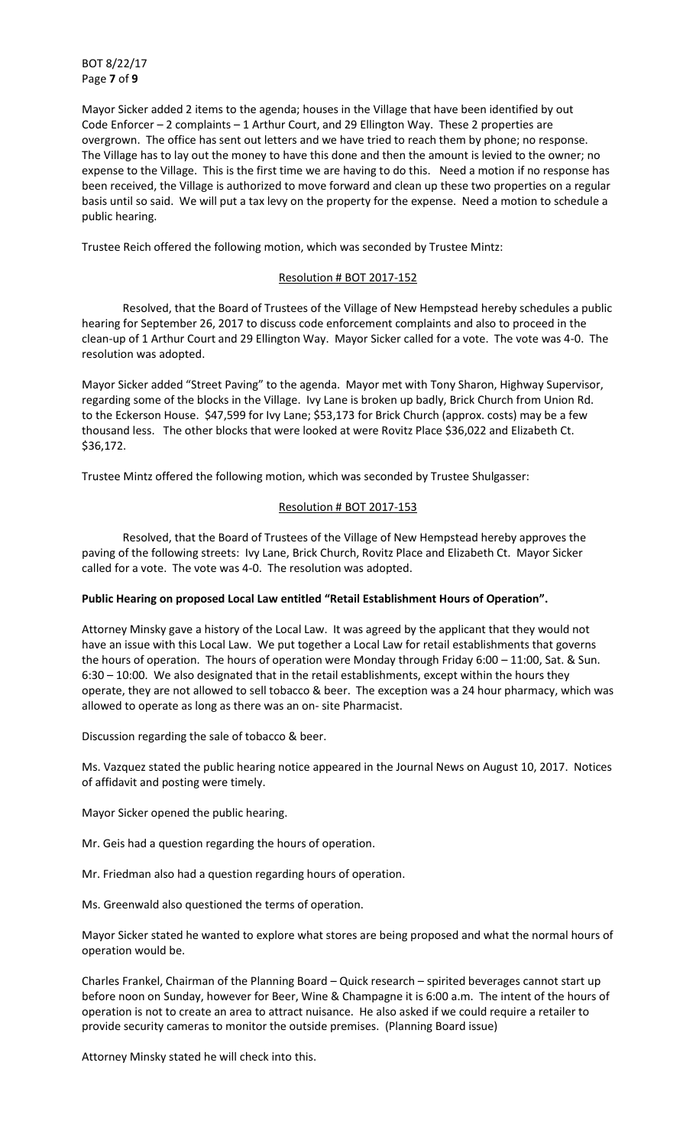BOT 8/22/17 Page **7** of **9**

Mayor Sicker added 2 items to the agenda; houses in the Village that have been identified by out Code Enforcer – 2 complaints – 1 Arthur Court, and 29 Ellington Way. These 2 properties are overgrown. The office has sent out letters and we have tried to reach them by phone; no response. The Village has to lay out the money to have this done and then the amount is levied to the owner; no expense to the Village. This is the first time we are having to do this. Need a motion if no response has been received, the Village is authorized to move forward and clean up these two properties on a regular basis until so said. We will put a tax levy on the property for the expense. Need a motion to schedule a public hearing.

Trustee Reich offered the following motion, which was seconded by Trustee Mintz:

# Resolution # BOT 2017-152

 Resolved, that the Board of Trustees of the Village of New Hempstead hereby schedules a public hearing for September 26, 2017 to discuss code enforcement complaints and also to proceed in the clean-up of 1 Arthur Court and 29 Ellington Way. Mayor Sicker called for a vote. The vote was 4-0. The resolution was adopted.

Mayor Sicker added "Street Paving" to the agenda. Mayor met with Tony Sharon, Highway Supervisor, regarding some of the blocks in the Village. Ivy Lane is broken up badly, Brick Church from Union Rd. to the Eckerson House. \$47,599 for Ivy Lane; \$53,173 for Brick Church (approx. costs) may be a few thousand less. The other blocks that were looked at were Rovitz Place \$36,022 and Elizabeth Ct. \$36,172.

Trustee Mintz offered the following motion, which was seconded by Trustee Shulgasser:

#### Resolution # BOT 2017-153

 Resolved, that the Board of Trustees of the Village of New Hempstead hereby approves the paving of the following streets: Ivy Lane, Brick Church, Rovitz Place and Elizabeth Ct. Mayor Sicker called for a vote. The vote was 4-0. The resolution was adopted.

## Public Hearing on proposed Local Law entitled "Retail Establishment Hours of Operation".

Attorney Minsky gave a history of the Local Law. It was agreed by the applicant that they would not have an issue with this Local Law. We put together a Local Law for retail establishments that governs the hours of operation. The hours of operation were Monday through Friday 6:00 – 11:00, Sat. & Sun. 6:30 – 10:00. We also designated that in the retail establishments, except within the hours they operate, they are not allowed to sell tobacco & beer. The exception was a 24 hour pharmacy, which was allowed to operate as long as there was an on- site Pharmacist.

Discussion regarding the sale of tobacco & beer.

Ms. Vazquez stated the public hearing notice appeared in the Journal News on August 10, 2017. Notices of affidavit and posting were timely.

Mayor Sicker opened the public hearing.

Mr. Geis had a question regarding the hours of operation.

Mr. Friedman also had a question regarding hours of operation.

Ms. Greenwald also questioned the terms of operation.

Mayor Sicker stated he wanted to explore what stores are being proposed and what the normal hours of operation would be.

Charles Frankel, Chairman of the Planning Board – Quick research – spirited beverages cannot start up before noon on Sunday, however for Beer, Wine & Champagne it is 6:00 a.m. The intent of the hours of operation is not to create an area to attract nuisance. He also asked if we could require a retailer to provide security cameras to monitor the outside premises. (Planning Board issue)

Attorney Minsky stated he will check into this.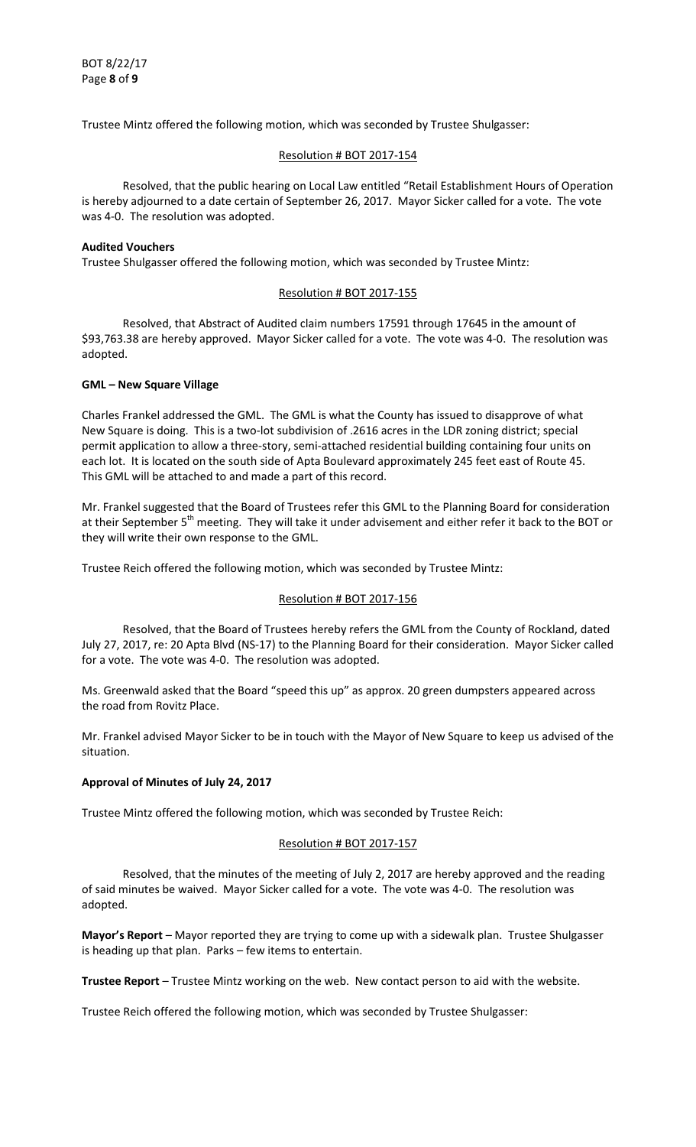Trustee Mintz offered the following motion, which was seconded by Trustee Shulgasser:

## Resolution # BOT 2017-154

Resolved, that the public hearing on Local Law entitled "Retail Establishment Hours of Operation is hereby adjourned to a date certain of September 26, 2017. Mayor Sicker called for a vote. The vote was 4-0. The resolution was adopted.

## **Audited Vouchers**

Trustee Shulgasser offered the following motion, which was seconded by Trustee Mintz:

## Resolution # BOT 2017-155

 Resolved, that Abstract of Audited claim numbers 17591 through 17645 in the amount of \$93,763.38 are hereby approved. Mayor Sicker called for a vote. The vote was 4-0. The resolution was adopted.

## **GML – New Square Village**

Charles Frankel addressed the GML. The GML is what the County has issued to disapprove of what New Square is doing. This is a two-lot subdivision of .2616 acres in the LDR zoning district; special permit application to allow a three-story, semi-attached residential building containing four units on each lot. It is located on the south side of Apta Boulevard approximately 245 feet east of Route 45. This GML will be attached to and made a part of this record.

Mr. Frankel suggested that the Board of Trustees refer this GML to the Planning Board for consideration at their September 5<sup>th</sup> meeting. They will take it under advisement and either refer it back to the BOT or they will write their own response to the GML.

Trustee Reich offered the following motion, which was seconded by Trustee Mintz:

## Resolution # BOT 2017-156

 Resolved, that the Board of Trustees hereby refers the GML from the County of Rockland, dated July 27, 2017, re: 20 Apta Blvd (NS-17) to the Planning Board for their consideration. Mayor Sicker called for a vote. The vote was 4-0. The resolution was adopted.

Ms. Greenwald asked that the Board "speed this up" as approx. 20 green dumpsters appeared across the road from Rovitz Place.

Mr. Frankel advised Mayor Sicker to be in touch with the Mayor of New Square to keep us advised of the situation.

#### **Approval of Minutes of July 24, 2017**

Trustee Mintz offered the following motion, which was seconded by Trustee Reich:

#### Resolution # BOT 2017-157

 Resolved, that the minutes of the meeting of July 2, 2017 are hereby approved and the reading of said minutes be waived. Mayor Sicker called for a vote. The vote was 4-0. The resolution was adopted.

**Mayor's Report** – Mayor reported they are trying to come up with a sidewalk plan. Trustee Shulgasser is heading up that plan. Parks – few items to entertain.

**Trustee Report** – Trustee Mintz working on the web. New contact person to aid with the website.

Trustee Reich offered the following motion, which was seconded by Trustee Shulgasser: